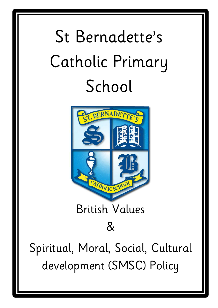# St Bernadette's Catholic Primary School



## [British Values](http://www.google.co.uk/url?sa=i&rct=j&q=&esrc=s&source=images&cd=&cad=rja&uact=8&ved=0ahUKEwiOlsmv4KHJAhWJShQKHVgsB8QQjRwIBw&url=http://moodle.stberns.bham.sch.uk/&bvm=bv.108194040,d.d24&psig=AFQjCNFcxnWFLHKE7t7BEGfcI95XlOqrzw&ust=1448203439019625)

### $\mathcal{R}$

Spiritual, Moral, Social, Cultural development (SMSC) Policy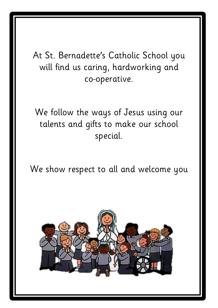At St. Bernadette's Catholic School you will find us caring, hardworking and co-operative.

We follow the ways of Jesus using our talents and gifts to make our school special.

We show respect to all and welcome you

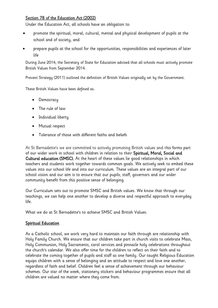#### Section 78 of the Education Act (2002)

Under the Education Act, all schools have an obligation to:

- promote the spiritual, moral, cultural, mental and physical development of pupils at the school and of society, and
- prepare pupils at the school for the opportunities, responsibilities and experiences of later life

During June 2014, the Secretary of State for Education advised that all schools must actively promote British Values from September 2014.

Prevent Strategy (2011) outlined the definition of British Values originally set by the Government.

These British Values have been defined as:

- Democracy
- The rule of law
- Individual liberty
- Mutual respect
- Tolerance of those with different faiths and beliefs

At St Bernadette's we are committed to actively promoting British values and this forms part of our wider work in school with children in relation to their Spiritual, Moral, Social and Cultural education (SMSC). At the heart of these values lie good relationships in which teachers and students work together towards common goals. We actively seek to embed these values into our school life and into our curriculum. These values are an integral part of our school vision and our aim is to ensure that our pupils, staff, governors and our wider community benefit from this positive sense of belonging.

Our Curriculum sets out to promote SMSC and British values. We know that through our teachings, we can help one another to develop a diverse and respectful approach to everyday life.

What we do at St Bernadette's to achieve SMSC and British Values:

#### **Spiritual Education**

As a Catholic school, we work very hard to maintain our faith through are relationship with Holy Family Church. We ensure that our children take part in church visits to celebrate Mass, Holy Communion, Holy Sacraments, carol services and pinnacle holy celebrations throughout the church's calendar. We also offer time for the children to reflect on their faith and to celebrate the coming together of pupils and staff as one family. Our taught Religious Education equips children with a sense of belonging and an attitude to respect and love one another, regardless of faith and belief. Children feel a sense of achievement through our behaviour schemes. Our star of the week, stationery stickers and behaviour programmes ensure that all children are valued no matter where they come from.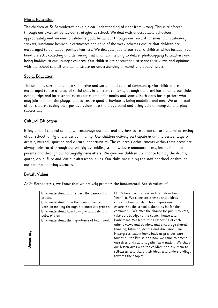#### **Moral Education**

The children at St Bernadette's have a clear understanding of right from wrong. This is reinforced through our excellent behaviour strategies at school. We deal with unacceptable behaviour appropriately and we aim to celebrate good behaviour through our reward schemes. Our stationary stickers, lunchtime behaviour certificates and child of the week schemes ensure that children are encouraged to be happy, positive learners. We delegate jobs to our Year 6 children which include; Year band prefects, collecting and delivering fruit and milk, helping to deliver photocopying to teachers and being buddies to our younger children. Our children are encouraged to share their views and opinions with the school council and demonstrate an understanding of moral and ethical issues.

#### Social Education

The school is surrounded by a supportive and social multi-cultural community. Our children are encouraged to use a range of social skills in different contexts, through the provision of numerous clubs, events, trips and inter-school events for example for maths and sports. Each class has a prefect who may join them on the playground to ensure good behaviour is being modelled and met. We are proud of our children taking their positive values into the playground and being able to integrate and play successfully.

#### Cultural Education

Being a multi-cultural school, we encourage our staff and teachers to celebrate culture and be accepting of our school family and wider community. Our children actively participate in an impressive range of artistic, musical, sporting and cultural opportunities. The children's achievements within these areas are always celebrated through our weekly assemblies, school website announcements, letters home to parents and through our fortnightly newsletters. We give our children the chance to play the drums, guitar, violin, flute and join our afterschool clubs. Our clubs are run by the staff at school or through our external sporting agencies.

#### British Values

At St Bernadette's, we know that we actively promote the fundamental British values of:

|                  | If To understand and respect the democratic  | Our School Council is open to children from          |
|------------------|----------------------------------------------|------------------------------------------------------|
|                  | process                                      | Year 1-6. We come together to share ideas,           |
|                  | □ To understand how they can influence       | concerns from pupils, school improvement and to      |
|                  | decision making through a democratic process | ensure that the school is doing its bit for the      |
|                  | Il To understand how to argue and defend a   | community. We offer the chance for pupils to vote,   |
|                  | point of view                                | take part in trips to the council house and          |
|                  | I To understand the importance of team work  | Parliament. We learn to be respectful of each        |
|                  |                                              | other's views and opinions and encourage shared      |
|                  |                                              | thinking, listening, debate and discussion. Our      |
|                  |                                              | History curriculum looks back at previous wars       |
|                  |                                              | fought by the British and how we came to defend      |
| <b>Democracy</b> |                                              | ourselves and stand together as a nation. We share   |
|                  |                                              | our lesson aims with the children and ask them to    |
|                  |                                              | self-assess and share their ideas and understandings |
|                  |                                              | towards their topics.                                |
|                  |                                              |                                                      |
|                  |                                              |                                                      |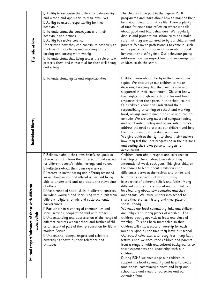| The rule of law                                                    | I Ability to recognise the difference between right<br>and wrong and apply this to their own lives<br>Il Ability to accept responsibility for their<br>behaviour<br>I To understand the consequences of their<br>behaviour and actions<br>Ⅱ Ability to resolve conflict<br>Understand how they can contribute positively to<br>the lives of those living and working in the<br>locality and society more widely<br>Il To understand that living under the rule of law<br>protects them and is essential for their well-being<br>and safety                                                                                                                                                                                                                                                                                                                                                                                                                             | The children take part in the Jigsaw PSHE<br>programme and learn about how to manage their<br>behaviour, views and future life. There is plenty<br>of time for circle time reflection where we talk<br>about good and bad behaviours. We regularly<br>discuss and promote our school rules and make<br>sure that they are adhered to by our children and<br>parents. We invite professionals to come in, such<br>as the police to inform our children about good<br>behaviour and safety first. Our behaviour policy<br>addresses how we respect law and encourage our<br>children to do the same.                                                                                                                                                                                                                                                                                                                                                                                                                                                                                                                                                                                                                                                                                                                          |
|--------------------------------------------------------------------|------------------------------------------------------------------------------------------------------------------------------------------------------------------------------------------------------------------------------------------------------------------------------------------------------------------------------------------------------------------------------------------------------------------------------------------------------------------------------------------------------------------------------------------------------------------------------------------------------------------------------------------------------------------------------------------------------------------------------------------------------------------------------------------------------------------------------------------------------------------------------------------------------------------------------------------------------------------------|-----------------------------------------------------------------------------------------------------------------------------------------------------------------------------------------------------------------------------------------------------------------------------------------------------------------------------------------------------------------------------------------------------------------------------------------------------------------------------------------------------------------------------------------------------------------------------------------------------------------------------------------------------------------------------------------------------------------------------------------------------------------------------------------------------------------------------------------------------------------------------------------------------------------------------------------------------------------------------------------------------------------------------------------------------------------------------------------------------------------------------------------------------------------------------------------------------------------------------------------------------------------------------------------------------------------------------|
| Individual liberty                                                 | Il To understand rights and responsibilities                                                                                                                                                                                                                                                                                                                                                                                                                                                                                                                                                                                                                                                                                                                                                                                                                                                                                                                           | Children learn about liberty in their curriculum<br>topics. We encourage our children to make<br>decisions, knowing that they will be safe and<br>supported in their environment. Children know<br>their rights through our school rules and from<br>responses from their peers in the school council.<br>Our children know and understand their<br>responsibility of coming to school and working<br>hard, always maintaining a positive and 'can do'<br>attitude. We are very aware of computer safety<br>and our E-safety policy and online safety topics<br>address the need to protect our children and help<br>them to understand the dangers online.<br>We give children the right to show their teachers<br>how they feel they are progressing in their lessons<br>and setting their own personal targets for<br>achievement.                                                                                                                                                                                                                                                                                                                                                                                                                                                                                       |
| Mutual respect/tolerance of those with different<br>faiths/beliefs | I Reflective about their own beliefs, religious or<br>otherwise that inform their interest in and respect<br>for different people's faiths, feelings and values<br>Il Reflective about their own experiences<br>I Interest in investigating and offering reasoned<br>views about moral and ethical issues and being<br>able to understand and appreciate the viewpoints<br>of others<br>I Use a range of social skills in different contexts,<br>including working and socialising with pupils from<br>different religions, ethnic and socio-economic<br>backgrounds<br>Il Participate in a variety of communities and<br>social settings, cooperating well with others<br>I Understanding and appreciation of the range of<br>different cultures within school and further afield<br>as an essential part of their preparation for life in<br>modern Britain<br>I Understand, accept, respect and celebrate<br>diversity as shown by their tolerance and<br>attitudes | Children learn about respect and tolerance in<br>their topics. Our children love celebrating<br>International week each year. This gives children<br>the chance to learn about similarities and<br>differences between themselves and others and<br>learn to be respectful of world history,<br>irrespective of different beliefs and faiths. Many<br>different cultures are explored and our children<br>love learning about new countries and their<br>inhabitants. We invite visitors into school to<br>share their stories, history and their place in<br>society today.<br>We value our local community links and children<br>annually visit a many places of worship. The<br>children, each year, visit at least one place of<br>worship. This has been timetabled so that<br>children will visit a place of worship for each<br>major religion by the time they leave our school.<br>Our school celebrates and recognises many faith<br>festivals and we encourage children and parents<br>from a range of faith and cultural backgrounds to<br>share experiences and knowledge with our<br>children.<br>During PSHE we encourage our children to<br>support the local community and help to create<br>food banks, community dinners and keep our<br>school safe and clean for ourselves and our<br>extended family. |